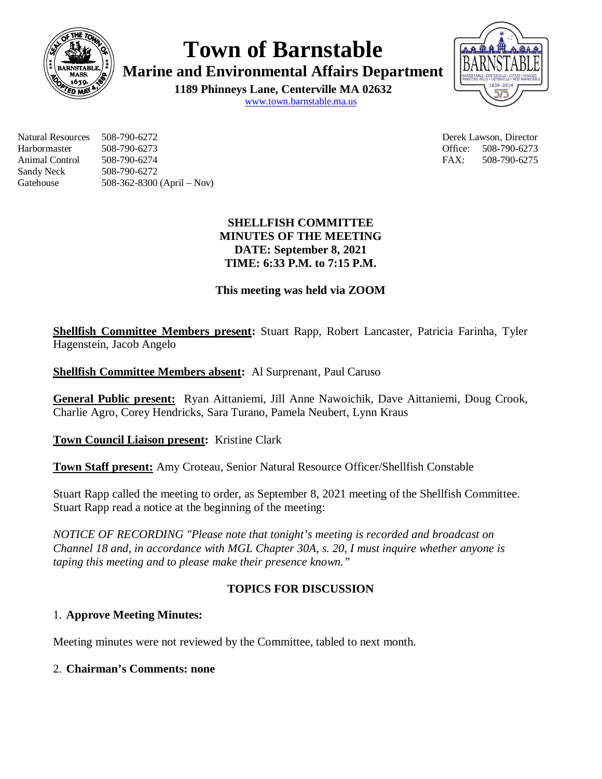

**Town of Barnstable**

**Marine and Environmental Affairs Department**

**1189 Phinneys Lane, Centerville MA 02632** www.town.barnstable.ma.us



Natural Resources 508-790-6272 Derek Lawson, Director Harbormaster 508-790-6273 Office: 508-790-6273 Animal Control 508-790-6274 FAX: 508-790-6275 Sandy Neck 508-790-6272 Gatehouse 508-362-8300 (April – Nov)

## **SHELLFISH COMMITTEE MINUTES OF THE MEETING DATE: September 8, 2021 TIME: 6:33 P.M. to 7:15 P.M.**

## **This meeting was held via ZOOM**

**Shellfish Committee Members present:** Stuart Rapp, Robert Lancaster, Patricia Farinha, Tyler Hagenstein, Jacob Angelo

**Shellfish Committee Members absent:** Al Surprenant, Paul Caruso

**General Public present:** Ryan Aittaniemi, Jill Anne Nawoichik, Dave Aittaniemi, Doug Crook, Charlie Agro, Corey Hendricks, Sara Turano, Pamela Neubert, Lynn Kraus

**Town Council Liaison present:** Kristine Clark

**Town Staff present:** Amy Croteau, Senior Natural Resource Officer/Shellfish Constable

Stuart Rapp called the meeting to order, as September 8, 2021 meeting of the Shellfish Committee. Stuart Rapp read a notice at the beginning of the meeting:

*NOTICE OF RECORDING "Please note that tonight's meeting is recorded and broadcast on Channel 18 and, in accordance with MGL Chapter 30A, s. 20, I must inquire whether anyone is taping this meeting and to please make their presence known."*

# **TOPICS FOR DISCUSSION**

## 1. **Approve Meeting Minutes:**

Meeting minutes were not reviewed by the Committee, tabled to next month.

### 2. **Chairman's Comments: none**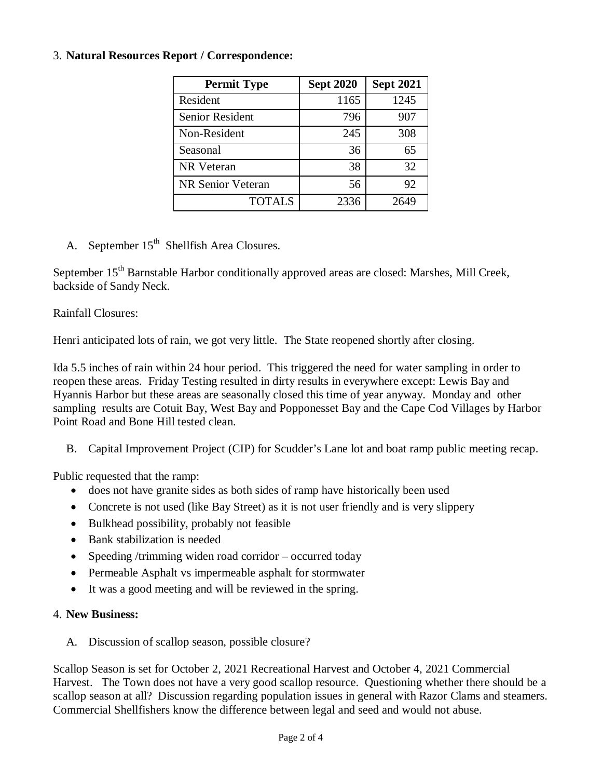#### 3. **Natural Resources Report / Correspondence:**

| <b>Permit Type</b>     | <b>Sept 2020</b> | <b>Sept 2021</b> |
|------------------------|------------------|------------------|
| Resident               | 1165             | 1245             |
| <b>Senior Resident</b> | 796              | 907              |
| Non-Resident           | 245              | 308              |
| Seasonal               | 36               | 65               |
| NR Veteran             | 38               | 32               |
| NR Senior Veteran      | 56               | 92               |
| <b>TOTALS</b>          | 2336             | 2649             |

A. September 15<sup>th</sup> Shellfish Area Closures.

September 15<sup>th</sup> Barnstable Harbor conditionally approved areas are closed: Marshes, Mill Creek, backside of Sandy Neck.

Rainfall Closures:

Henri anticipated lots of rain, we got very little. The State reopened shortly after closing.

Ida 5.5 inches of rain within 24 hour period. This triggered the need for water sampling in order to reopen these areas. Friday Testing resulted in dirty results in everywhere except: Lewis Bay and Hyannis Harbor but these areas are seasonally closed this time of year anyway. Monday and other sampling results are Cotuit Bay, West Bay and Popponesset Bay and the Cape Cod Villages by Harbor Point Road and Bone Hill tested clean.

B. Capital Improvement Project (CIP) for Scudder's Lane lot and boat ramp public meeting recap.

Public requested that the ramp:

- does not have granite sides as both sides of ramp have historically been used
- Concrete is not used (like Bay Street) as it is not user friendly and is very slippery
- Bulkhead possibility, probably not feasible
- Bank stabilization is needed
- Speeding /trimming widen road corridor occurred today
- Permeable Asphalt vs impermeable asphalt for stormwater
- It was a good meeting and will be reviewed in the spring.

#### 4. **New Business:**

A. Discussion of scallop season, possible closure?

Scallop Season is set for October 2, 2021 Recreational Harvest and October 4, 2021 Commercial Harvest. The Town does not have a very good scallop resource. Questioning whether there should be a scallop season at all? Discussion regarding population issues in general with Razor Clams and steamers. Commercial Shellfishers know the difference between legal and seed and would not abuse.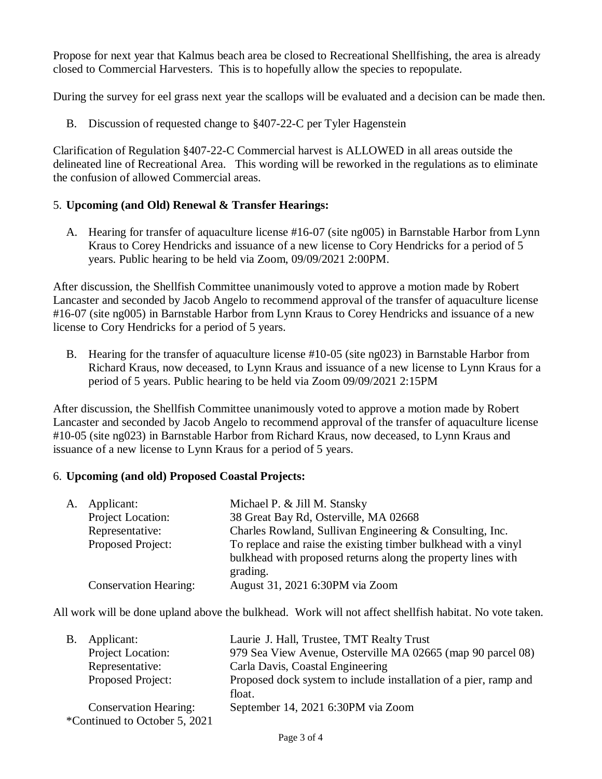Propose for next year that Kalmus beach area be closed to Recreational Shellfishing, the area is already closed to Commercial Harvesters. This is to hopefully allow the species to repopulate.

During the survey for eel grass next year the scallops will be evaluated and a decision can be made then.

B. Discussion of requested change to §407-22-C per Tyler Hagenstein

Clarification of Regulation §407-22-C Commercial harvest is ALLOWED in all areas outside the delineated line of Recreational Area. This wording will be reworked in the regulations as to eliminate the confusion of allowed Commercial areas.

#### 5. **Upcoming (and Old) Renewal & Transfer Hearings:**

A. Hearing for transfer of aquaculture license #16-07 (site ng005) in Barnstable Harbor from Lynn Kraus to Corey Hendricks and issuance of a new license to Cory Hendricks for a period of 5 years. Public hearing to be held via Zoom, 09/09/2021 2:00PM.

After discussion, the Shellfish Committee unanimously voted to approve a motion made by Robert Lancaster and seconded by Jacob Angelo to recommend approval of the transfer of aquaculture license #16-07 (site ng005) in Barnstable Harbor from Lynn Kraus to Corey Hendricks and issuance of a new license to Cory Hendricks for a period of 5 years.

B. Hearing for the transfer of aquaculture license #10-05 (site ng023) in Barnstable Harbor from Richard Kraus, now deceased, to Lynn Kraus and issuance of a new license to Lynn Kraus for a period of 5 years. Public hearing to be held via Zoom 09/09/2021 2:15PM

After discussion, the Shellfish Committee unanimously voted to approve a motion made by Robert Lancaster and seconded by Jacob Angelo to recommend approval of the transfer of aquaculture license #10-05 (site ng023) in Barnstable Harbor from Richard Kraus, now deceased, to Lynn Kraus and issuance of a new license to Lynn Kraus for a period of 5 years.

#### 6. **Upcoming (and old) Proposed Coastal Projects:**

| A. | Applicant:                   | Michael P. & Jill M. Stansky                                             |
|----|------------------------------|--------------------------------------------------------------------------|
|    | Project Location:            | 38 Great Bay Rd, Osterville, MA 02668                                    |
|    | Representative:              | Charles Rowland, Sullivan Engineering & Consulting, Inc.                 |
|    | Proposed Project:            | To replace and raise the existing timber bulkhead with a vinyl           |
|    |                              | bulkhead with proposed returns along the property lines with<br>grading. |
|    | <b>Conservation Hearing:</b> | August 31, 2021 6:30PM via Zoom                                          |
|    |                              |                                                                          |

All work will be done upland above the bulkhead. Work will not affect shellfish habitat. No vote taken.

| В. | Applicant:                    | Laurie J. Hall, Trustee, TMT Realty Trust                        |
|----|-------------------------------|------------------------------------------------------------------|
|    | Project Location:             | 979 Sea View Avenue, Osterville MA 02665 (map 90 parcel 08)      |
|    | Representative:               | Carla Davis, Coastal Engineering                                 |
|    | Proposed Project:             | Proposed dock system to include installation of a pier, ramp and |
|    |                               | float.                                                           |
|    | <b>Conservation Hearing:</b>  | September 14, 2021 6:30PM via Zoom                               |
|    | *Continued to October 5, 2021 |                                                                  |